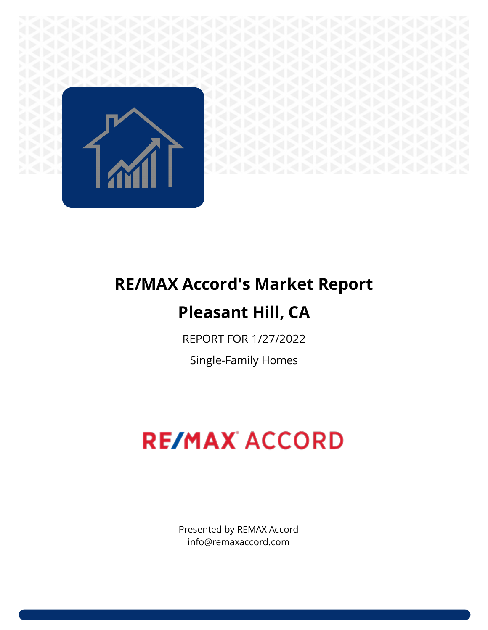

# **RE/MAX Accord's Market Report Pleasant Hill, CA**

REPORT FOR 1/27/2022

Single-Family Homes

# **RE/MAX ACCORD**

Presented by REMAX Accord info@remaxaccord.com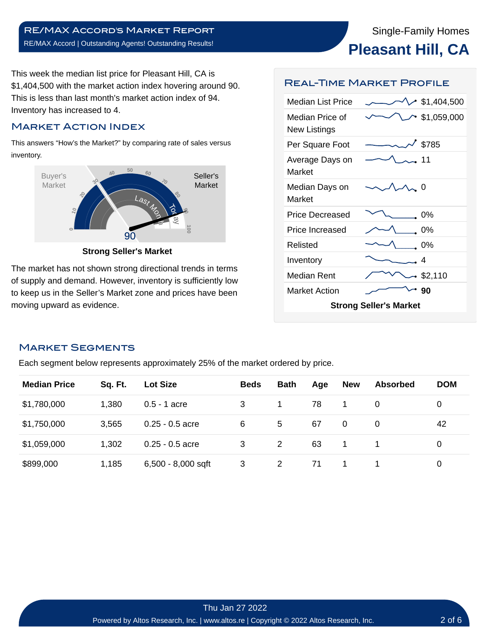This week the median list price for Pleasant Hill, CA is \$1,404,500 with the market action index hovering around 90. This is less than last month's market action index of 94. Inventory has increased to 4.

# Market Action Index

This answers "How's the Market?" by comparing rate of sales versus inventory.



**Strong Seller's Market**

The market has not shown strong directional trends in terms of supply and demand. However, inventory is sufficiently low to keep us in the Seller's Market zone and prices have been moving upward as evidence.

#### Real-Time Market Profile

| Median List Price                      | $\cdot$ \$1,404,500 |  |  |  |  |  |  |
|----------------------------------------|---------------------|--|--|--|--|--|--|
| Median Price of<br><b>New Listings</b> | \$1,059,000         |  |  |  |  |  |  |
| Per Square Foot                        | \$785               |  |  |  |  |  |  |
| Average Days on<br>Market              | . 11                |  |  |  |  |  |  |
| Median Days on<br>Market               | -0                  |  |  |  |  |  |  |
| Price Decreased                        | 0%                  |  |  |  |  |  |  |
| Price Increased                        | 0%                  |  |  |  |  |  |  |
| Relisted                               | 0%                  |  |  |  |  |  |  |
| Inventory                              | 4                   |  |  |  |  |  |  |
| Median Rent                            | • \$2,110           |  |  |  |  |  |  |
| <b>Market Action</b>                   | 90                  |  |  |  |  |  |  |
| <b>Strong Seller's Market</b>          |                     |  |  |  |  |  |  |

# Market Segments

Each segment below represents approximately 25% of the market ordered by price.

| <b>Median Price</b> | Sq. Ft. | <b>Lot Size</b>    | <b>Beds</b> | <b>Bath</b> | Age | <b>New</b> | <b>Absorbed</b> | <b>DOM</b> |
|---------------------|---------|--------------------|-------------|-------------|-----|------------|-----------------|------------|
| \$1,780,000         | 1,380   | $0.5 - 1$ acre     | 3           |             | 78  | 1          | 0               | 0          |
| \$1,750,000         | 3,565   | $0.25 - 0.5$ acre  | 6           | 5           | 67  | 0          | 0               | 42         |
| \$1,059,000         | 1,302   | $0.25 - 0.5$ acre  | 3           | 2           | 63  | 1          |                 | 0          |
| \$899,000           | 1,185   | 6,500 - 8,000 sqft | 3           | 2           | 71  |            |                 | 0          |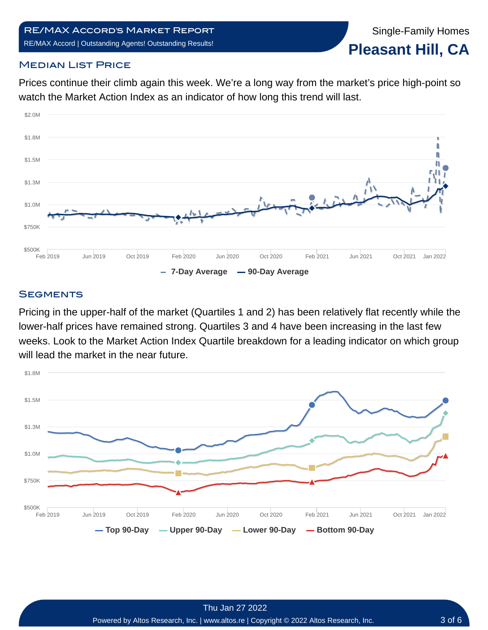# **MEDIAN LIST PRICE**

Prices continue their climb again this week. We're a long way from the market's price high-point so watch the Market Action Index as an indicator of how long this trend will last.



# **SEGMENTS**

Pricing in the upper-half of the market (Quartiles 1 and 2) has been relatively flat recently while the lower-half prices have remained strong. Quartiles 3 and 4 have been increasing in the last few weeks. Look to the Market Action Index Quartile breakdown for a leading indicator on which group will lead the market in the near future.

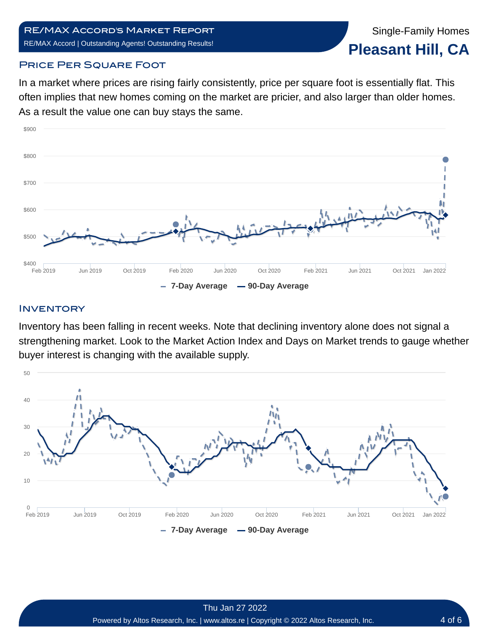Single-Family Homes **Pleasant Hill, CA**

#### **PRICE PER SQUARE FOOT**

In a market where prices are rising fairly consistently, price per square foot is essentially flat. This often implies that new homes coming on the market are pricier, and also larger than older homes. As a result the value one can buy stays the same.



#### **INVENTORY**

Inventory has been falling in recent weeks. Note that declining inventory alone does not signal a strengthening market. Look to the Market Action Index and Days on Market trends to gauge whether buyer interest is changing with the available supply.

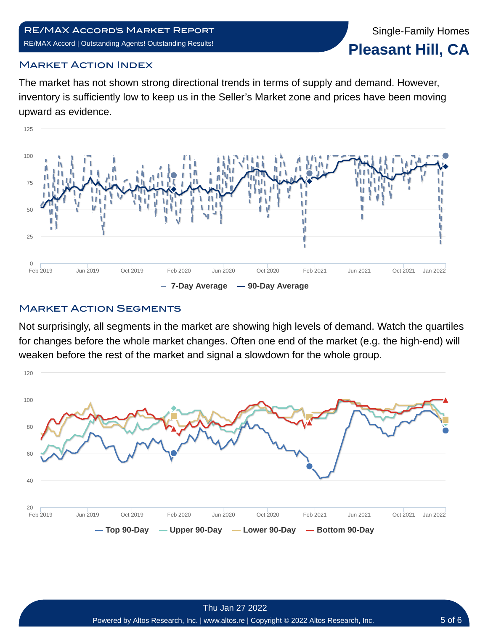# Market Action Index

The market has not shown strong directional trends in terms of supply and demand. However, inventory is sufficiently low to keep us in the Seller's Market zone and prices have been moving upward as evidence.



# **MARKET ACTION SEGMENTS**

Not surprisingly, all segments in the market are showing high levels of demand. Watch the quartiles for changes before the whole market changes. Often one end of the market (e.g. the high-end) will weaken before the rest of the market and signal a slowdown for the whole group.